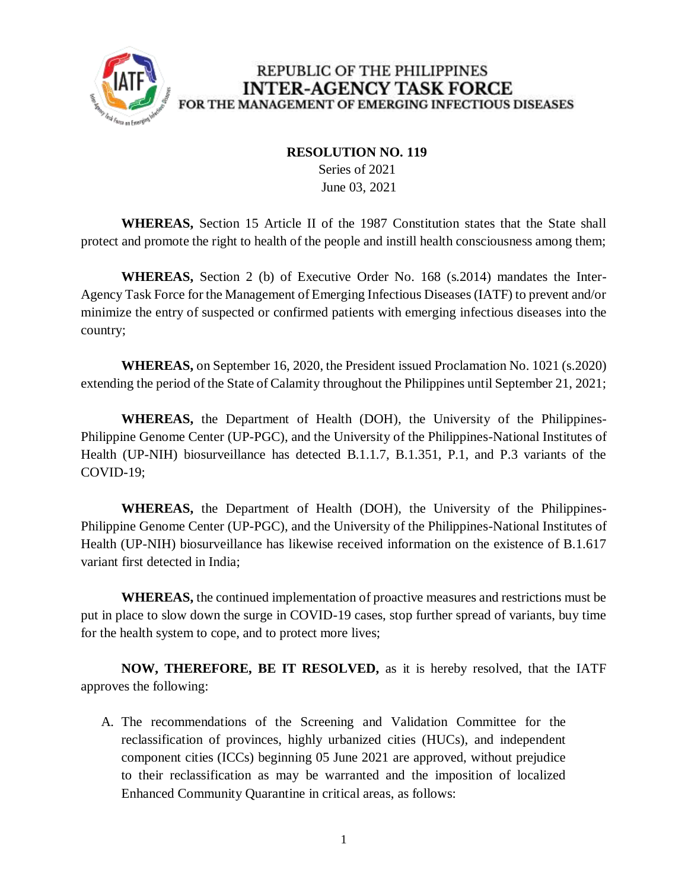

## REPUBLIC OF THE PHILIPPINES **INTER-AGENCY TASK FORCE** FOR THE MANAGEMENT OF EMERGING INFECTIOUS DISEASES

## **RESOLUTION NO. 119**

 Series of 2021 June 03, 2021

**WHEREAS,** Section 15 Article II of the 1987 Constitution states that the State shall protect and promote the right to health of the people and instill health consciousness among them;

**WHEREAS,** Section 2 (b) of Executive Order No. 168 (s.2014) mandates the Inter-Agency Task Force for the Management of Emerging Infectious Diseases (IATF) to prevent and/or minimize the entry of suspected or confirmed patients with emerging infectious diseases into the country;

**WHEREAS,** on September 16, 2020, the President issued Proclamation No. 1021 (s.2020) extending the period of the State of Calamity throughout the Philippines until September 21, 2021;

**WHEREAS,** the Department of Health (DOH), the University of the Philippines-Philippine Genome Center (UP-PGC), and the University of the Philippines-National Institutes of Health (UP-NIH) biosurveillance has detected B.1.1.7, B.1.351, P.1, and P.3 variants of the COVID-19;

**WHEREAS,** the Department of Health (DOH), the University of the Philippines-Philippine Genome Center (UP-PGC), and the University of the Philippines-National Institutes of Health (UP-NIH) biosurveillance has likewise received information on the existence of B.1.617 variant first detected in India;

**WHEREAS,** the continued implementation of proactive measures and restrictions must be put in place to slow down the surge in COVID-19 cases, stop further spread of variants, buy time for the health system to cope, and to protect more lives;

**NOW, THEREFORE, BE IT RESOLVED,** as it is hereby resolved, that the IATF approves the following:

A. The recommendations of the Screening and Validation Committee for the reclassification of provinces, highly urbanized cities (HUCs), and independent component cities (ICCs) beginning 05 June 2021 are approved, without prejudice to their reclassification as may be warranted and the imposition of localized Enhanced Community Quarantine in critical areas, as follows: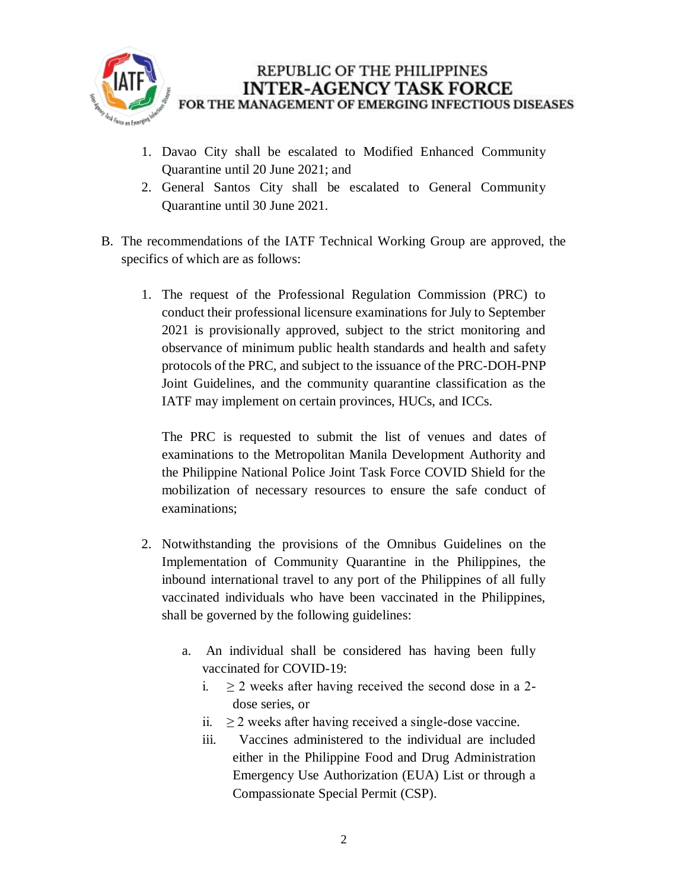

## REPUBLIC OF THE PHILIPPINES **INTER-AGENCY TASK FORCE** FOR THE MANAGEMENT OF EMERGING INFECTIOUS DISEASES

- 1. Davao City shall be escalated to Modified Enhanced Community Quarantine until 20 June 2021; and
- 2. General Santos City shall be escalated to General Community Quarantine until 30 June 2021.
- B. The recommendations of the IATF Technical Working Group are approved, the specifics of which are as follows:
	- 1. The request of the Professional Regulation Commission (PRC) to conduct their professional licensure examinations for July to September 2021 is provisionally approved, subject to the strict monitoring and observance of minimum public health standards and health and safety protocols of the PRC, and subject to the issuance of the PRC-DOH-PNP Joint Guidelines, and the community quarantine classification as the IATF may implement on certain provinces, HUCs, and ICCs.

The PRC is requested to submit the list of venues and dates of examinations to the Metropolitan Manila Development Authority and the Philippine National Police Joint Task Force COVID Shield for the mobilization of necessary resources to ensure the safe conduct of examinations;

- 2. Notwithstanding the provisions of the Omnibus Guidelines on the Implementation of Community Quarantine in the Philippines, the inbound international travel to any port of the Philippines of all fully vaccinated individuals who have been vaccinated in the Philippines, shall be governed by the following guidelines:
	- a. An individual shall be considered has having been fully vaccinated for COVID-19:
		- i.  $\geq$  2 weeks after having received the second dose in a 2dose series, or
		- ii.  $\geq$  2 weeks after having received a single-dose vaccine.
		- iii. Vaccines administered to the individual are included either in the Philippine Food and Drug Administration Emergency Use Authorization (EUA) List or through a Compassionate Special Permit (CSP).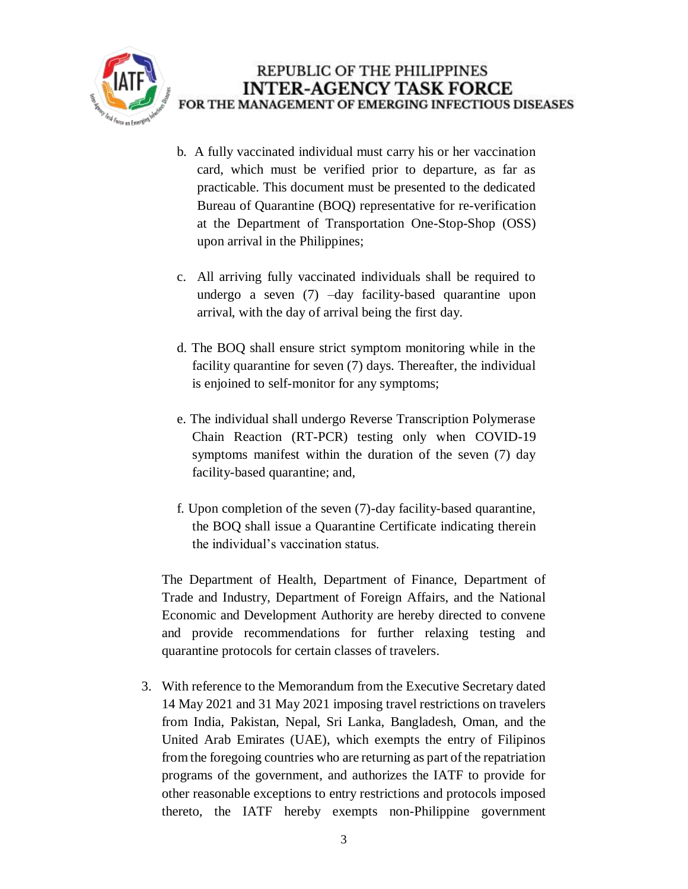

- b. A fully vaccinated individual must carry his or her vaccination card, which must be verified prior to departure, as far as practicable. This document must be presented to the dedicated Bureau of Quarantine (BOQ) representative for re-verification at the Department of Transportation One-Stop-Shop (OSS) upon arrival in the Philippines;
- c. All arriving fully vaccinated individuals shall be required to undergo a seven (7) –day facility-based quarantine upon arrival, with the day of arrival being the first day.
- d. The BOQ shall ensure strict symptom monitoring while in the facility quarantine for seven (7) days. Thereafter, the individual is enjoined to self-monitor for any symptoms;
- e. The individual shall undergo Reverse Transcription Polymerase Chain Reaction (RT-PCR) testing only when COVID-19 symptoms manifest within the duration of the seven (7) day facility-based quarantine; and,
- f. Upon completion of the seven (7)-day facility-based quarantine, the BOQ shall issue a Quarantine Certificate indicating therein the individual's vaccination status.

The Department of Health, Department of Finance, Department of Trade and Industry, Department of Foreign Affairs, and the National Economic and Development Authority are hereby directed to convene and provide recommendations for further relaxing testing and quarantine protocols for certain classes of travelers.

3. With reference to the Memorandum from the Executive Secretary dated 14 May 2021 and 31 May 2021 imposing travel restrictions on travelers from India, Pakistan, Nepal, Sri Lanka, Bangladesh, Oman, and the United Arab Emirates (UAE), which exempts the entry of Filipinos from the foregoing countries who are returning as part of the repatriation programs of the government, and authorizes the IATF to provide for other reasonable exceptions to entry restrictions and protocols imposed thereto, the IATF hereby exempts non-Philippine government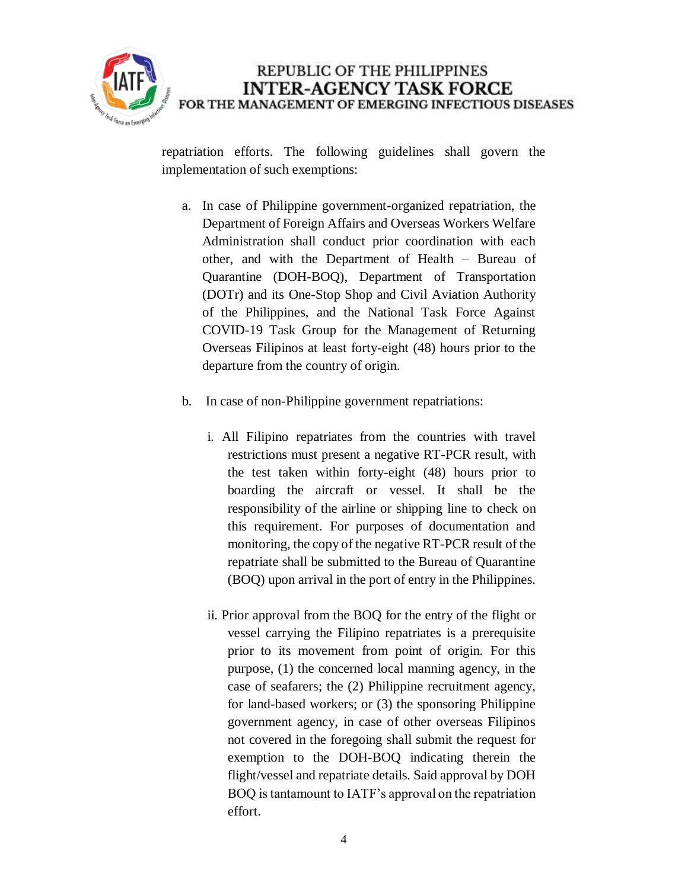

repatriation efforts. The following guidelines shall govern the implementation of such exemptions:

- a. In case of Philippine government-organized repatriation, the Department of Foreign Affairs and Overseas Workers Welfare Administration shall conduct prior coordination with each other, and with the Department of Health – Bureau of Quarantine (DOH-BOQ), Department of Transportation (DOTr) and its One-Stop Shop and Civil Aviation Authority of the Philippines, and the National Task Force Against COVID-19 Task Group for the Management of Returning Overseas Filipinos at least forty-eight (48) hours prior to the departure from the country of origin.
- b. In case of non-Philippine government repatriations:
	- i. All Filipino repatriates from the countries with travel restrictions must present a negative RT-PCR result, with the test taken within forty-eight (48) hours prior to boarding the aircraft or vessel. It shall be the responsibility of the airline or shipping line to check on this requirement. For purposes of documentation and monitoring, the copy of the negative RT-PCR result of the repatriate shall be submitted to the Bureau of Quarantine (BOQ) upon arrival in the port of entry in the Philippines.
	- ii. Prior approval from the BOQ for the entry of the flight or vessel carrying the Filipino repatriates is a prerequisite prior to its movement from point of origin. For this purpose, (1) the concerned local manning agency, in the case of seafarers; the (2) Philippine recruitment agency, for land-based workers; or (3) the sponsoring Philippine government agency, in case of other overseas Filipinos not covered in the foregoing shall submit the request for exemption to the DOH-BOQ indicating therein the flight/vessel and repatriate details. Said approval by DOH BOQ is tantamount to IATF's approval on the repatriation effort.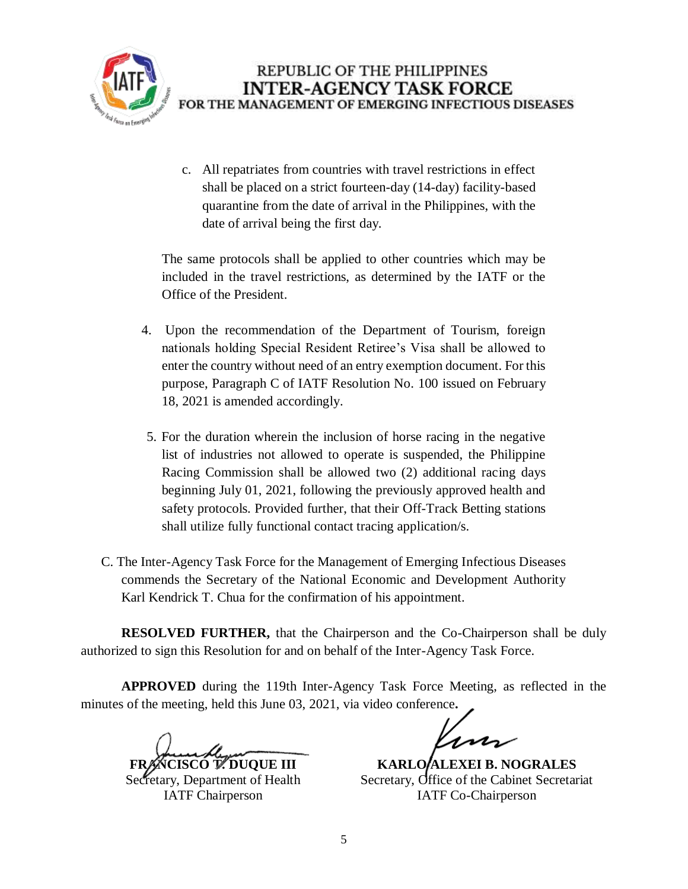

c. All repatriates from countries with travel restrictions in effect shall be placed on a strict fourteen-day (14-day) facility-based quarantine from the date of arrival in the Philippines, with the date of arrival being the first day.

The same protocols shall be applied to other countries which may be included in the travel restrictions, as determined by the IATF or the Office of the President.

- 4. Upon the recommendation of the Department of Tourism, foreign nationals holding Special Resident Retiree's Visa shall be allowed to enter the country without need of an entry exemption document. For this purpose, Paragraph C of IATF Resolution No. 100 issued on February 18, 2021 is amended accordingly.
- 5. For the duration wherein the inclusion of horse racing in the negative list of industries not allowed to operate is suspended, the Philippine Racing Commission shall be allowed two (2) additional racing days beginning July 01, 2021, following the previously approved health and safety protocols. Provided further, that their Off-Track Betting stations shall utilize fully functional contact tracing application/s.
- C. The Inter-Agency Task Force for the Management of Emerging Infectious Diseases commends the Secretary of the National Economic and Development Authority Karl Kendrick T. Chua for the confirmation of his appointment.

**RESOLVED FURTHER,** that the Chairperson and the Co-Chairperson shall be duly authorized to sign this Resolution for and on behalf of the Inter-Agency Task Force.

**APPROVED** during the 119th Inter-Agency Task Force Meeting, as reflected in the minutes of the meeting, held this June 03, 2021, via video conference**.**

**FRANCISCO T. DUQUE III**

Secretary, Department of Health IATF Chairperson

 $\lambda$ 

**KARLO/ALEXEI B. NOGRALES** Secretary, Office of the Cabinet Secretariat IATF Co-Chairperson